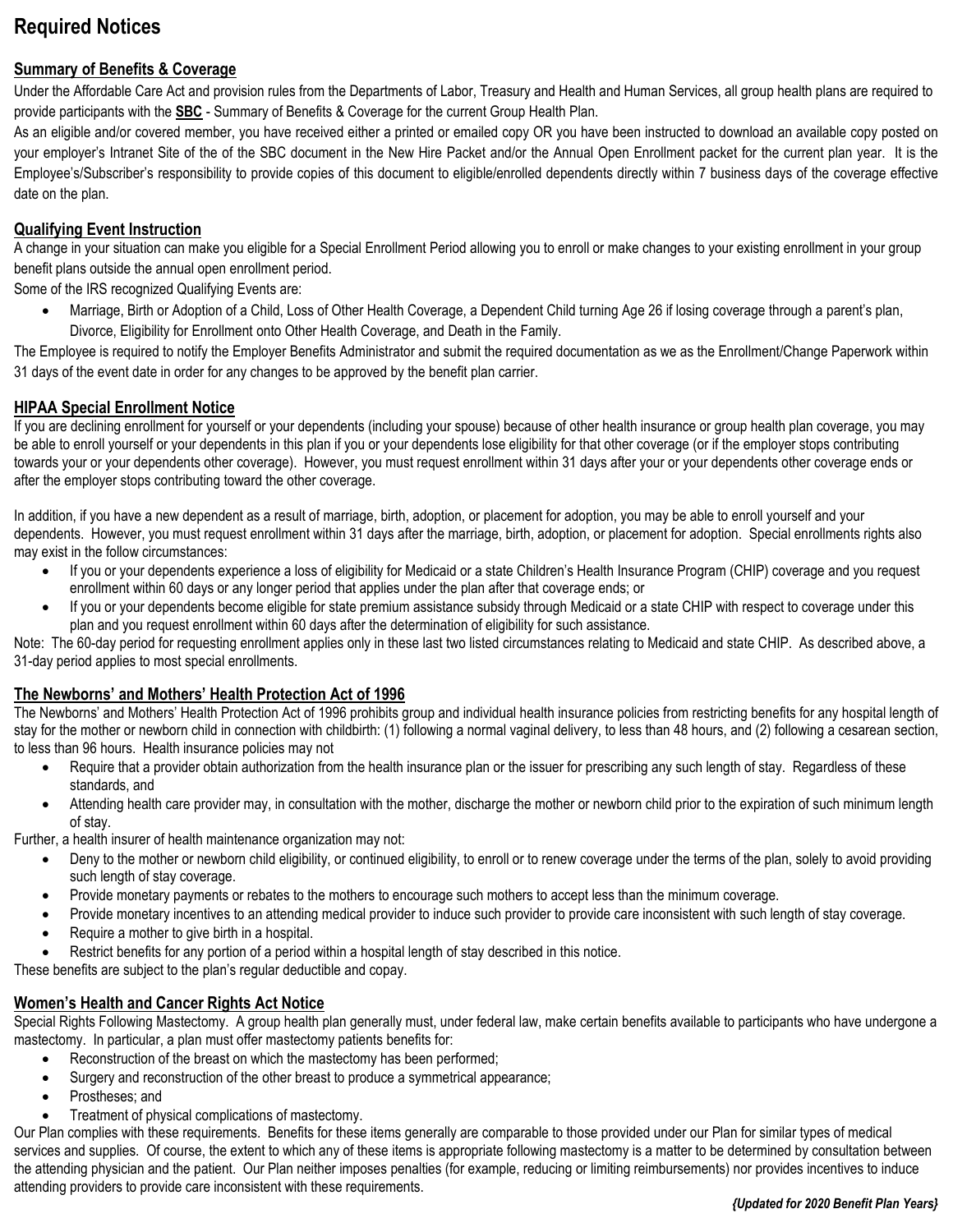# **Required Notices**

## **Summary of Benefits & Coverage**

Under the Affordable Care Act and provision rules from the Departments of Labor, Treasury and Health and Human Services, all group health plans are required to provide participants with the **SBC** - Summary of Benefits & Coverage for the current Group Health Plan.

As an eligible and/or covered member, you have received either a printed or emailed copy OR you have been instructed to download an available copy posted on your employer's Intranet Site of the of the SBC document in the New Hire Packet and/or the Annual Open Enrollment packet for the current plan year. It is the Employee's/Subscriber's responsibility to provide copies of this document to eligible/enrolled dependents directly within 7 business days of the coverage effective date on the plan.

#### **Qualifying Event Instruction**

A change in your situation can make you eligible for a Special Enrollment Period allowing you to enroll or make changes to your existing enrollment in your group benefit plans outside the annual open enrollment period.

Some of the IRS recognized Qualifying Events are:

• Marriage, Birth or Adoption of a Child, Loss of Other Health Coverage, a Dependent Child turning Age 26 if losing coverage through a parent's plan, Divorce, Eligibility for Enrollment onto Other Health Coverage, and Death in the Family.

The Employee is required to notify the Employer Benefits Administrator and submit the required documentation as we as the Enrollment/Change Paperwork within 31 days of the event date in order for any changes to be approved by the benefit plan carrier.

#### **HIPAA Special Enrollment Notice**

If you are declining enrollment for yourself or your dependents (including your spouse) because of other health insurance or group health plan coverage, you may be able to enroll yourself or your dependents in this plan if you or your dependents lose eligibility for that other coverage (or if the employer stops contributing towards your or your dependents other coverage). However, you must request enrollment within 31 days after your or your dependents other coverage ends or after the employer stops contributing toward the other coverage.

In addition, if you have a new dependent as a result of marriage, birth, adoption, or placement for adoption, you may be able to enroll yourself and your dependents. However, you must request enrollment within 31 days after the marriage, birth, adoption, or placement for adoption. Special enrollments rights also may exist in the follow circumstances:

- If you or your dependents experience a loss of eligibility for Medicaid or a state Children's Health Insurance Program (CHIP) coverage and you request enrollment within 60 days or any longer period that applies under the plan after that coverage ends; or
- If you or your dependents become eligible for state premium assistance subsidy through Medicaid or a state CHIP with respect to coverage under this plan and you request enrollment within 60 days after the determination of eligibility for such assistance.

Note: The 60-day period for requesting enrollment applies only in these last two listed circumstances relating to Medicaid and state CHIP. As described above, a 31-day period applies to most special enrollments.

#### **The Newborns' and Mothers' Health Protection Act of 1996**

The Newborns' and Mothers' Health Protection Act of 1996 prohibits group and individual health insurance policies from restricting benefits for any hospital length of stay for the mother or newborn child in connection with childbirth: (1) following a normal vaginal delivery, to less than 48 hours, and (2) following a cesarean section, to less than 96 hours. Health insurance policies may not

- Require that a provider obtain authorization from the health insurance plan or the issuer for prescribing any such length of stay. Regardless of these standards, and
- Attending health care provider may, in consultation with the mother, discharge the mother or newborn child prior to the expiration of such minimum length of stay.

Further, a health insurer of health maintenance organization may not:

- Deny to the mother or newborn child eligibility, or continued eligibility, to enroll or to renew coverage under the terms of the plan, solely to avoid providing such length of stay coverage.
- Provide monetary payments or rebates to the mothers to encourage such mothers to accept less than the minimum coverage.
- Provide monetary incentives to an attending medical provider to induce such provider to provide care inconsistent with such length of stay coverage.
- Require a mother to give birth in a hospital.
- Restrict benefits for any portion of a period within a hospital length of stay described in this notice.

These benefits are subject to the plan's regular deductible and copay.

#### **Women's Health and Cancer Rights Act Notice**

Special Rights Following Mastectomy. A group health plan generally must, under federal law, make certain benefits available to participants who have undergone a mastectomy. In particular, a plan must offer mastectomy patients benefits for:

- Reconstruction of the breast on which the mastectomy has been performed;
- Surgery and reconstruction of the other breast to produce a symmetrical appearance;
- Prostheses; and
- Treatment of physical complications of mastectomy.

Our Plan complies with these requirements. Benefits for these items generally are comparable to those provided under our Plan for similar types of medical services and supplies. Of course, the extent to which any of these items is appropriate following mastectomy is a matter to be determined by consultation between the attending physician and the patient. Our Plan neither imposes penalties (for example, reducing or limiting reimbursements) nor provides incentives to induce attending providers to provide care inconsistent with these requirements.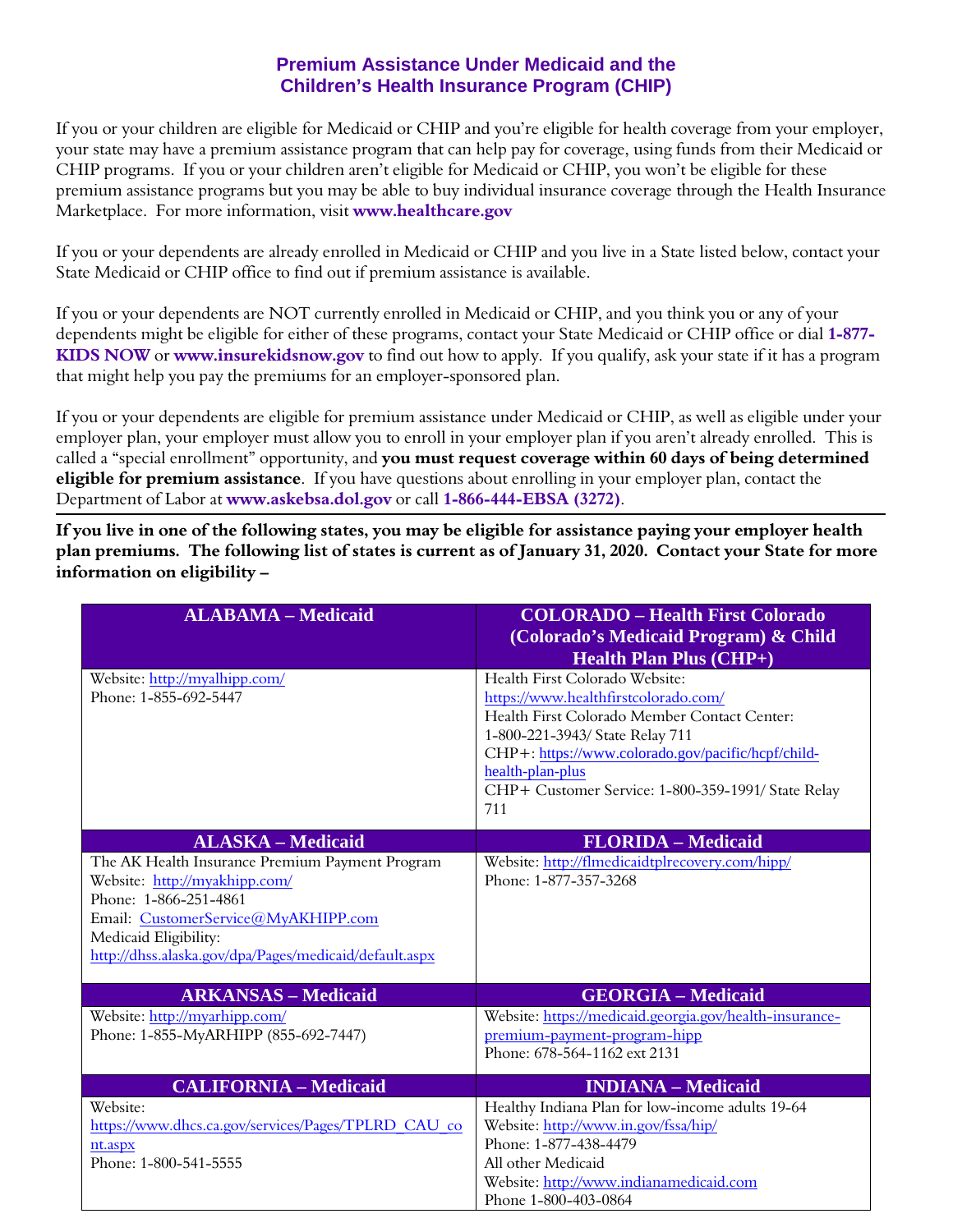# **Premium Assistance Under Medicaid and the Children's Health Insurance Program (CHIP)**

If you or your children are eligible for Medicaid or CHIP and you're eligible for health coverage from your employer, your state may have a premium assistance program that can help pay for coverage, using funds from their Medicaid or CHIP programs. If you or your children aren't eligible for Medicaid or CHIP, you won't be eligible for these premium assistance programs but you may be able to buy individual insurance coverage through the Health Insurance Marketplace. For more information, visit **[www.healthcare.gov](http://www.healthcare.gov/)**

If you or your dependents are already enrolled in Medicaid or CHIP and you live in a State listed below, contact your State Medicaid or CHIP office to find out if premium assistance is available.

If you or your dependents are NOT currently enrolled in Medicaid or CHIP, and you think you or any of your dependents might be eligible for either of these programs, contact your State Medicaid or CHIP office or dial **1-877- KIDS NOW** or **[www.insurekidsnow.gov](http://www.insurekidsnow.gov/)** to find out how to apply. If you qualify, ask your state if it has a program that might help you pay the premiums for an employer-sponsored plan.

If you or your dependents are eligible for premium assistance under Medicaid or CHIP, as well as eligible under your employer plan, your employer must allow you to enroll in your employer plan if you aren't already enrolled. This is called a "special enrollment" opportunity, and **you must request coverage within 60 days of being determined eligible for premium assistance**. If you have questions about enrolling in your employer plan, contact the Department of Labor at **[www.askebsa.dol.gov](http://www.askebsa.dol.gov/)** or call **1-866-444-EBSA (3272)**.

**If you live in one of the following states, you may be eligible for assistance paying your employer health plan premiums. The following list of states is current as of January 31, 2020. Contact your State for more information on eligibility –** 

| <b>ALABAMA - Medicaid</b>                                                        | <b>COLORADO - Health First Colorado</b><br>(Colorado's Medicaid Program) & Child<br><b>Health Plan Plus (CHP+)</b> |
|----------------------------------------------------------------------------------|--------------------------------------------------------------------------------------------------------------------|
| Website: http://myalhipp.com/<br>Phone: 1-855-692-5447                           | Health First Colorado Website:                                                                                     |
|                                                                                  | https://www.healthfirstcolorado.com/<br>Health First Colorado Member Contact Center:                               |
|                                                                                  | 1-800-221-3943/ State Relay 711                                                                                    |
|                                                                                  | CHP+: https://www.colorado.gov/pacific/hcpf/child-                                                                 |
|                                                                                  | health-plan-plus                                                                                                   |
|                                                                                  | CHP+ Customer Service: 1-800-359-1991/ State Relay<br>711                                                          |
|                                                                                  |                                                                                                                    |
| <b>ALASKA - Medicaid</b>                                                         | <b>FLORIDA - Medicaid</b>                                                                                          |
| The AK Health Insurance Premium Payment Program<br>Website: http://myakhipp.com/ | Website: http://flmedicaidtplrecovery.com/hipp/<br>Phone: 1-877-357-3268                                           |
| Phone: 1-866-251-4861                                                            |                                                                                                                    |
| Email: CustomerService@MyAKHIPP.com                                              |                                                                                                                    |
| Medicaid Eligibility:                                                            |                                                                                                                    |
| http://dhss.alaska.gov/dpa/Pages/medicaid/default.aspx                           |                                                                                                                    |
| <b>ARKANSAS - Medicaid</b>                                                       | <b>GEORGIA - Medicaid</b>                                                                                          |
| Website: http://myarhipp.com/                                                    | Website: https://medicaid.georgia.gov/health-insurance-                                                            |
| Phone: 1-855-MyARHIPP (855-692-7447)                                             | premium-payment-program-hipp                                                                                       |
|                                                                                  | Phone: 678-564-1162 ext 2131                                                                                       |
| <b>CALIFORNIA - Medicaid</b>                                                     | <b>INDIANA</b> – Medicaid                                                                                          |
| Website:                                                                         | Healthy Indiana Plan for low-income adults 19-64                                                                   |
| https://www.dhcs.ca.gov/services/Pages/TPLRD CAU co                              | Website: http://www.in.gov/fssa/hip/                                                                               |
| nt.aspx<br>Phone: 1-800-541-5555                                                 | Phone: 1-877-438-4479<br>All other Medicaid                                                                        |
|                                                                                  | Website: http://www.indianamedicaid.com                                                                            |
|                                                                                  | Phone 1-800-403-0864                                                                                               |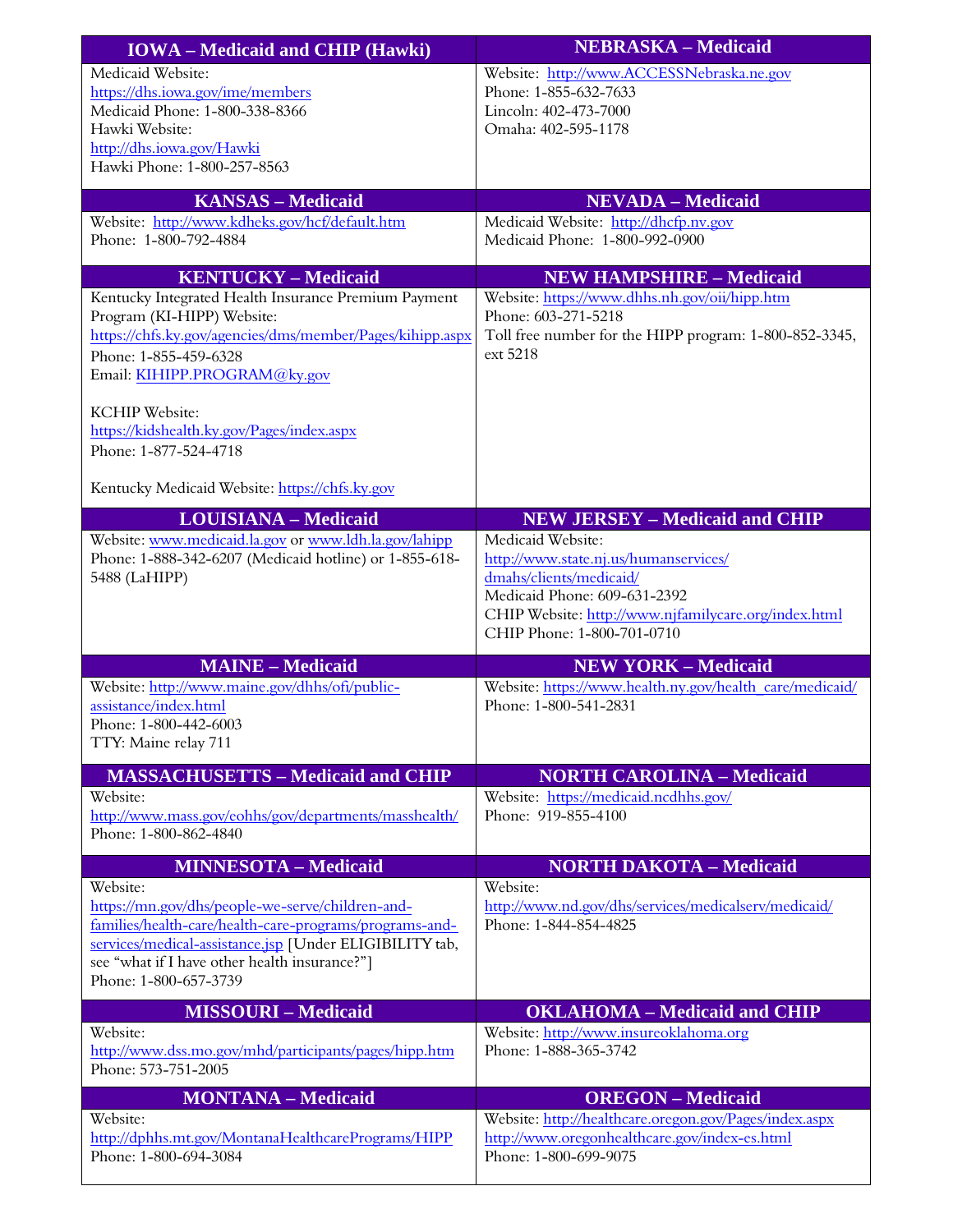| <b>IOWA</b> – Medicaid and CHIP (Hawki)                                                                                                                                                                                                                      | <b>NEBRASKA - Medicaid</b>                                                                                                                                                                                  |
|--------------------------------------------------------------------------------------------------------------------------------------------------------------------------------------------------------------------------------------------------------------|-------------------------------------------------------------------------------------------------------------------------------------------------------------------------------------------------------------|
| Medicaid Website:<br>https://dhs.iowa.gov/ime/members<br>Medicaid Phone: 1-800-338-8366<br>Hawki Website:<br>http://dhs.iowa.gov/Hawki                                                                                                                       | Website: http://www.ACCESSNebraska.ne.gov<br>Phone: 1-855-632-7633<br>Lincoln: 402-473-7000<br>Omaha: 402-595-1178                                                                                          |
| Hawki Phone: 1-800-257-8563                                                                                                                                                                                                                                  |                                                                                                                                                                                                             |
| <b>KANSAS - Medicaid</b>                                                                                                                                                                                                                                     | <b>NEVADA - Medicaid</b>                                                                                                                                                                                    |
| Website: http://www.kdheks.gov/hcf/default.htm<br>Phone: 1-800-792-4884                                                                                                                                                                                      | Medicaid Website: http://dhcfp.nv.gov<br>Medicaid Phone: 1-800-992-0900                                                                                                                                     |
| <b>KENTUCKY - Medicaid</b>                                                                                                                                                                                                                                   | <b>NEW HAMPSHIRE - Medicaid</b>                                                                                                                                                                             |
| Kentucky Integrated Health Insurance Premium Payment<br>Program (KI-HIPP) Website:<br>https://chfs.ky.gov/agencies/dms/member/Pages/kihipp.aspx<br>Phone: 1-855-459-6328<br>Email: KIHIPP.PROGRAM@ky.gov                                                     | Website: https://www.dhhs.nh.gov/oii/hipp.htm<br>Phone: 603-271-5218<br>Toll free number for the HIPP program: 1-800-852-3345,<br>ext 5218                                                                  |
| <b>KCHIP</b> Website:<br>https://kidshealth.ky.gov/Pages/index.aspx<br>Phone: 1-877-524-4718                                                                                                                                                                 |                                                                                                                                                                                                             |
| Kentucky Medicaid Website: https://chfs.ky.gov                                                                                                                                                                                                               |                                                                                                                                                                                                             |
| <b>LOUISIANA - Medicaid</b>                                                                                                                                                                                                                                  | <b>NEW JERSEY - Medicaid and CHIP</b>                                                                                                                                                                       |
| Website: www.medicaid.la.gov or www.ldh.la.gov/lahipp<br>Phone: 1-888-342-6207 (Medicaid hotline) or 1-855-618-<br>5488 (LaHIPP)                                                                                                                             | Medicaid Website:<br>http://www.state.nj.us/humanservices/<br>dmahs/clients/medicaid/<br>Medicaid Phone: 609-631-2392<br>CHIP Website: http://www.njfamilycare.org/index.html<br>CHIP Phone: 1-800-701-0710 |
| <b>MAINE - Medicaid</b><br>Website: http://www.maine.gov/dhhs/ofi/public-<br>assistance/index.html<br>Phone: 1-800-442-6003<br>TTY: Maine relay 711                                                                                                          | <b>NEW YORK - Medicaid</b><br>Website: https://www.health.ny.gov/health_care/medicaid/<br>Phone: 1-800-541-2831                                                                                             |
| <b>MASSACHUSETTS - Medicaid and CHIP</b>                                                                                                                                                                                                                     | <b>NORTH CAROLINA - Medicaid</b>                                                                                                                                                                            |
| Website:<br>http://www.mass.gov/eohhs/gov/departments/masshealth/<br>Phone: 1-800-862-4840                                                                                                                                                                   | Website: https://medicaid.ncdhhs.gov/<br>Phone: 919-855-4100                                                                                                                                                |
| <b>MINNESOTA - Medicaid</b>                                                                                                                                                                                                                                  | <b>NORTH DAKOTA - Medicaid</b>                                                                                                                                                                              |
| Website:<br>https://mn.gov/dhs/people-we-serve/children-and-<br>families/health-care/health-care-programs/programs-and-<br>services/medical-assistance.jsp [Under ELIGIBILITY tab,<br>see "what if I have other health insurance?"]<br>Phone: 1-800-657-3739 | Website:<br>http://www.nd.gov/dhs/services/medicalserv/medicaid/<br>Phone: 1-844-854-4825                                                                                                                   |
| <b>MISSOURI - Medicaid</b>                                                                                                                                                                                                                                   | <b>OKLAHOMA - Medicaid and CHIP</b>                                                                                                                                                                         |
| Website:<br>http://www.dss.mo.gov/mhd/participants/pages/hipp.htm<br>Phone: 573-751-2005                                                                                                                                                                     | Website: http://www.insureoklahoma.org<br>Phone: 1-888-365-3742                                                                                                                                             |
| <b>MONTANA - Medicaid</b>                                                                                                                                                                                                                                    | <b>OREGON</b> - Medicaid                                                                                                                                                                                    |
| Website:<br>http://dphhs.mt.gov/MontanaHealthcarePrograms/HIPP<br>Phone: 1-800-694-3084                                                                                                                                                                      | Website: http://healthcare.oregon.gov/Pages/index.aspx<br>http://www.oregonhealthcare.gov/index-es.html<br>Phone: 1-800-699-9075                                                                            |